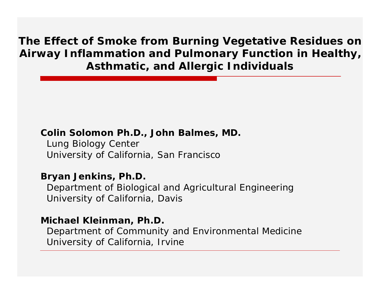**The Effect of Smoke from Burning Vegetative Residues on Airway Inflammation and Pulmonary Function in Healthy, Asthmatic, and Allergic Individuals** 

#### **Colin Solomon Ph.D., John Balmes, MD.**

Lung Biology Center University of California, San Francisco

#### **Bryan Jenkins, Ph.D.**

Department of Biological and Agricultural Engineering University of California, Davis

#### **Michael Kleinman, Ph.D.**

Department of Community and Environmental Medicine University of California, Irvine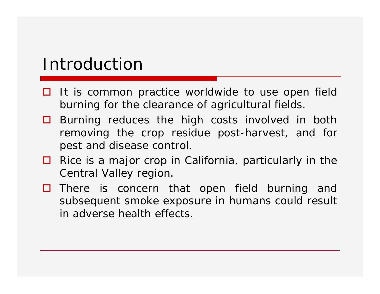#### Introduction

- $\Box$  It is common practice worldwide to use open field burning for the clearance of agricultural fields.
- $\Box$  Burning reduces the high costs involved in both removing the crop residue post-harvest, and for pest and disease control.
- $\Box$  Rice is a major crop in California, particularly in the Central Valley region.
- $\Box$  There is concern that open field burning and subsequent smoke exposure in humans could result in adverse health effects.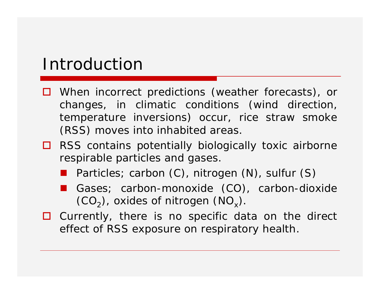#### Introduction

- $\Box$  When incorrect predictions (weather forecasts), or changes, in climatic conditions (wind direction, temperature inversions) occur, rice straw smoke (RSS) moves into inhabited areas.
- $\Box$  RSS contains potentially biologically toxic airborne respirable particles and gases.
	- Particles; carbon (C), nitrogen (N), sulfur (S)
	- Gases; carbon-monoxide (CO), carbon-dioxide  $(CO<sub>2</sub>)$ , oxides of nitrogen  $(NO<sub>x</sub>)$ .
- $\Box$  Currently, there is no specific data on the direct effect of RSS exposure on respiratory health.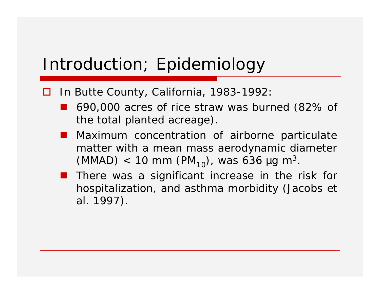- □ In Butte County, California, 1983-1992:
	- 690,000 acres of rice straw was burned (82% of the total planted acreage).
	- **Maximum concentration of airborne particulate** matter with a mean mass aerodynamic diameter (MMAD) < 10 mm (PM<sub>10</sub>), was 636 µg m<sup>3</sup>.
	- **There was a significant increase in the risk for** hospitalization, and asthma morbidity (Jacobs *et al.* 1997).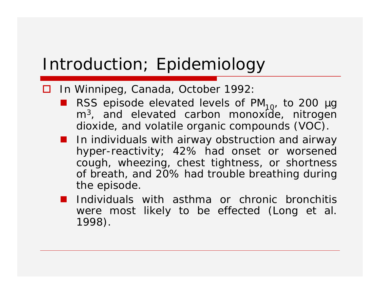#### □ In Winnipeg, Canada, October 1992:

- **RSS** episode elevated levels of PM<sub>10</sub>, to 200 µg m<sup>3</sup>, and elevated carbon monoxide, nitrogen dioxide, and volatile organic compounds (VOC).
- **In individuals with airway obstruction and airway** hyper-reactivity; 42% had onset or worsened cough, wheezing, chest tightness, or shortness of breath, and 20% had trouble breathing during the episode.
- **Individuals** with asthma or chronic bronchitis were most likely to be effected (Long *et al.*  1998).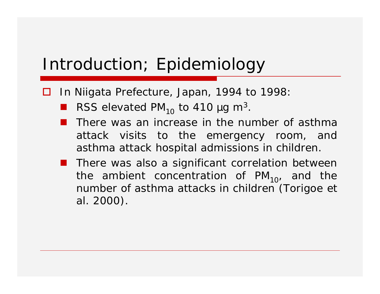- □ In Niigata Prefecture, Japan, 1994 to 1998:
	- RSS elevated PM<sub>10</sub> to 410  $\mu$ g m<sup>3</sup>.
	- There was an increase in the number of asthma attack visits to the emergency room, and asthma attack hospital admissions in children.
	- **There was also a significant correlation between** the ambient concentration of  $PM_{10}$ , and the number of asthma attacks in children (Torigoe *et al.* 2000).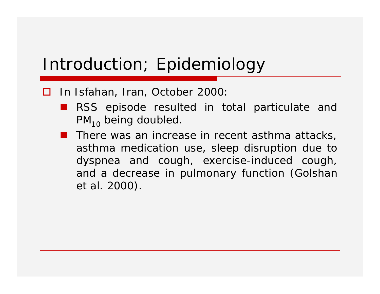- □ In Isfahan, Iran, October 2000:
	- **RSS** episode resulted in total particulate and  $PM_{10}$  being doubled.
	- **There was an increase in recent asthma attacks,** asthma medication use, sleep disruption due to dyspnea and cough, exercise-induced cough, and a decrease in pulmonary function (Golshan *et al.* 2000).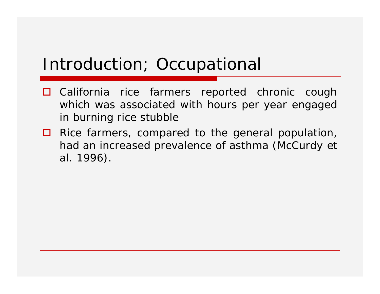#### Introduction; Occupational

- $\Box$  California rice farmers reported chronic cough which was associated with hours per year engaged in burning rice stubble
- $\Box$  Rice farmers, compared to the general population, had an increased prevalence of asthma (McCurdy *et al.* 1996).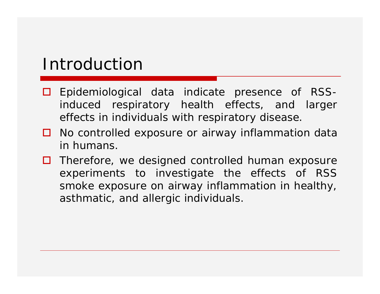#### Introduction

- $\Box$  Epidemiological data indicate presence of RSSinduced respiratory health effects, and larger effects in individuals with respiratory disease.
- $\Box$  No controlled exposure or airway inflammation data in humans.
- $\Box$  Therefore, we designed controlled human exposure experiments to investigate the effects of RSS smoke exposure on airway inflammation in healthy, asthmatic, and allergic individuals.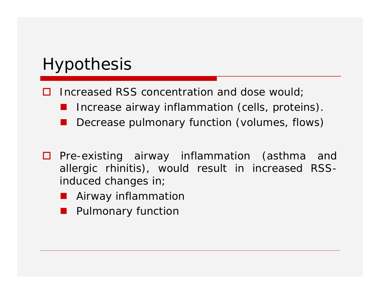## Hypothesis

- Increased RSS concentration and dose would;
	- Increase airway inflammation (cells, proteins).
	- Decrease pulmonary function (volumes, flows)
- $\Box$  Pre-existing airway inflammation (asthma and allergic rhinitis), would result in increased RSSinduced changes in;
	- **Airway inflammation**
	- Pulmonary function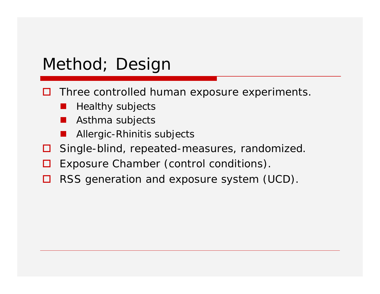#### Method; Design

- $\Box$  Three controlled human exposure experiments.
	- Healthy subjects
	- Asthma subjects
	- Allergic-Rhinitis subjects
- $\Box$  Single-blind, repeated-measures, randomized.
- $\Box$  Exposure Chamber (control conditions).
- $\Box$  RSS generation and exposure system (UCD).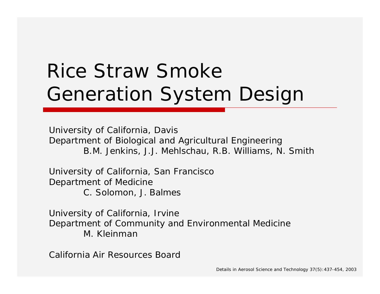# Rice Straw Smoke Generation System Design

University of California, Davis Department of Biological and Agricultural Engineering B.M. Jenkins, J.J. Mehlschau, R.B. Williams, N. Smith

University of California, San Francisco Department of Medicine C. Solomon, J. Balmes

University of California, Irvine Department of Community and Environmental Medicine M. Kleinman

California Air Resources Board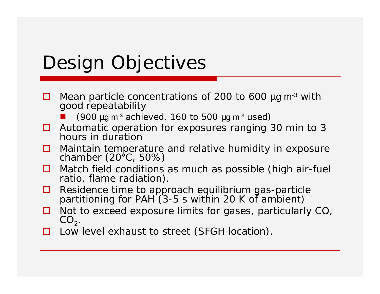# Design Objectives

- $\Box$  Mean particle concentrations of 200 to 600  $\mu$ g m<sup>-3</sup> with good repeatability
	- (900  $\mu$ g m<sup>-3</sup> achieved, 160 to 500  $\mu$ g m<sup>-3</sup> used)
- $\Box$  Automatic operation for exposures ranging 30 min to 3 hours in duration
- $\Box$  Maintain temperature and relative humidity in exposure chamber (20°C, 50%)
- $\Box$  Match field conditions as much as possible (high air-fuel ratio, flame radiation).
- $\Box$  Residence time to approach equilibrium gas-particle partitioning for PAH (3-5 s within 20 K of ambient)
- $\Box$  Not to exceed exposure limits for gases, particularly CO,  $CO<sub>2</sub>$ .
- □ Low level exhaust to street (SFGH location).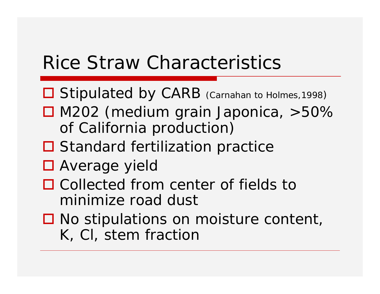## Rice Straw Characteristics

- Stipulated by CARB (Carnahan to Holmes, 1998)
- $\Box$  M202 (medium grain Japonica,  $>50\%$ of California production)
- $\Box$  Standard fertilization practice
- Average yield
- $\Box$  Collected from center of fields to minimize road dust
- $\Box$  No stipulations on moisture content, K, Cl, stem fraction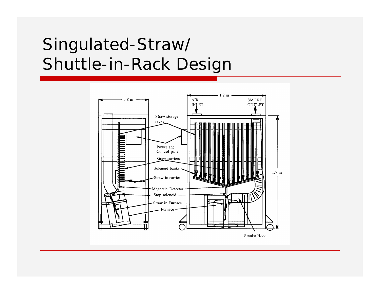## Singulated-Straw/ Shuttle-in-Rack Design

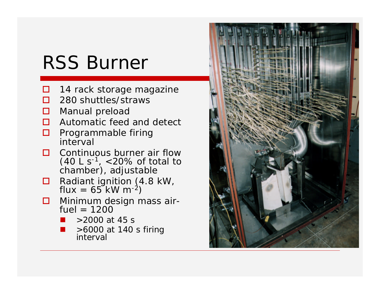# RSS Burner

- $\Box$  14 rack storage magazine
- $\Box$  280 shuttles/straws
- □ Manual preload
- $\Box$  Automatic feed and detect
- $\Box$  Programmable firing interval
- $\Box$  Continuous burner air flow  $(40 \text{ L s}^{-1}, \, <20\% \text{ of total to})$ chamber), adjustable
- $\Box$  Radiant ignition (4.8 kW, flux = 65 kW m<sup>-2</sup>)
- **I** Minimum design mass air $fuel = 1200$ 
	- >2000 at 45 s
	- >6000 at 140 s firing interval

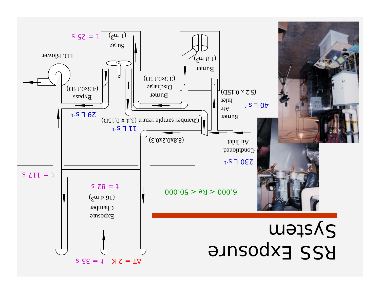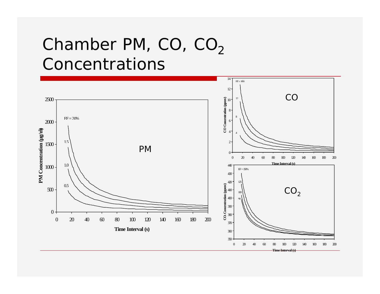## Chamber PM,  $CO$ ,  $CO<sub>2</sub>$ Concentrations

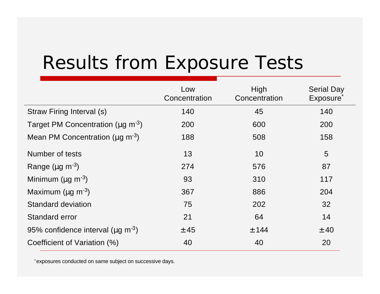# Results from Exposure Tests

|                                                     | Low<br>Concentration | High<br>Concentration | <b>Serial Day</b><br>Exposure <sup>®</sup> |
|-----------------------------------------------------|----------------------|-----------------------|--------------------------------------------|
| Straw Firing Interval (s)                           | 140                  | 45                    | 140                                        |
| Target PM Concentration ( $\mu$ g m <sup>-3</sup> ) | 200                  | 600                   | 200                                        |
| Mean PM Concentration ( $\mu$ g m <sup>-3</sup> )   | 188                  | 508                   | 158                                        |
| Number of tests                                     | 13                   | 10                    | 5                                          |
| Range ( $\mu$ g m <sup>-3</sup> )                   | 274                  | 576                   | 87                                         |
| Minimum ( $\mu$ g m <sup>-3</sup> )                 | 93                   | 310                   | 117                                        |
| Maximum ( $\mu$ g m <sup>-3</sup> )                 | 367                  | 886                   | 204                                        |
| <b>Standard deviation</b>                           | 75                   | 202                   | 32                                         |
| <b>Standard error</b>                               | 21                   | 64                    | 14                                         |
| 95% confidence interval ( $\mu$ g m <sup>-3</sup> ) | ± 45                 | $±$ 144               | ± 40                                       |
| Coefficient of Variation (%)                        | 40                   | 40                    | 20                                         |

\*exposures conducted on same subject on successive days.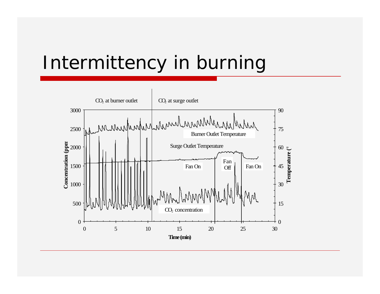## Intermittency in burning

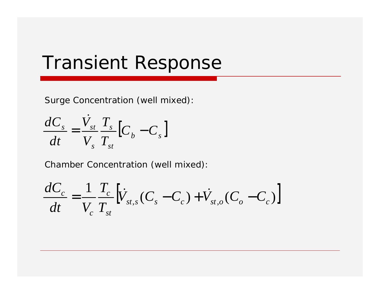## Transient Response

Surge Concentration (well mixed):

$$
\frac{dC_s}{dt} = \frac{\dot{V}_{st}}{V_s} \frac{T_s}{T_{st}} \left[ C_b - C_s \right]
$$

Chamber Concentration (well mixed):

$$
\frac{dC_c}{dt} = \frac{1}{V_c} \frac{T_c}{T_{st}} \left[ \dot{V}_{st,s} (C_s - C_c) + \dot{V}_{st,o} (C_o - C_c) \right]
$$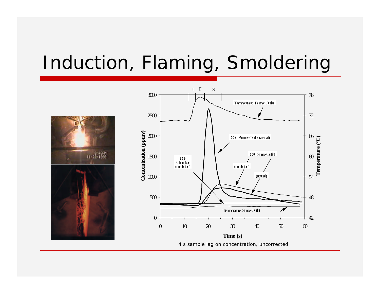# Induction, Flaming, Smoldering

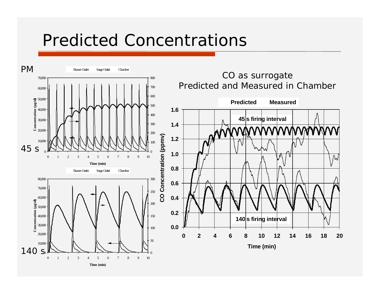#### Predicted Concentrations

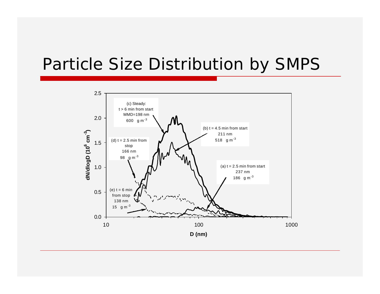#### Particle Size Distribution by SMPS

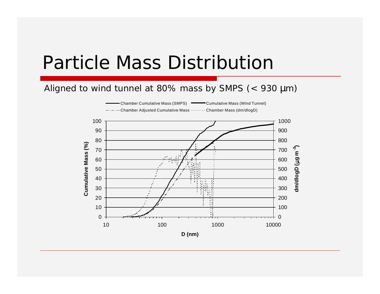## Particle Mass Distribution

#### Aligned to wind tunnel at 80% mass by SMPS  $(< 930 \mu m)$

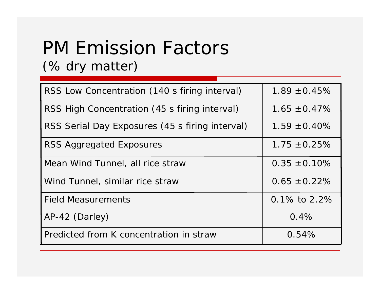# PM Emission Factors

#### (% dry matter)

| RSS Low Concentration (140 s firing interval)   | $1.89 \pm 0.45\%$ |
|-------------------------------------------------|-------------------|
| RSS High Concentration (45 s firing interval)   | $1.65 \pm 0.47\%$ |
| RSS Serial Day Exposures (45 s firing interval) | $1.59 \pm 0.40\%$ |
| RSS Aggregated Exposures                        | $1.75 \pm 0.25\%$ |
| Mean Wind Tunnel, all rice straw                | $0.35 \pm 0.10\%$ |
| Wind Tunnel, similar rice straw                 | $0.65 \pm 0.22\%$ |
| <b>Field Measurements</b>                       | 0.1% to $2.2%$    |
| AP-42 (Darley)                                  | 0.4%              |
| Predicted from K concentration in straw         | 0.54%             |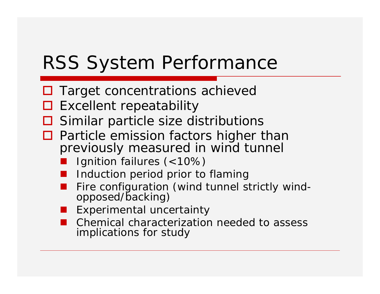## RSS System Performance

- $\Box$  Target concentrations achieved
- $\square$  Excellent repeatability
- $\square$  Similar particle size distributions
- $\Box$  Particle emission factors higher than previously measured in wind tunnel
	- Ignition failures (<10%)
	- Induction period prior to flaming
	- Fire configuration (wind tunnel strictly windopposed/backing)
	- Experimental uncertainty
	- Chemical characterization needed to assess implications for study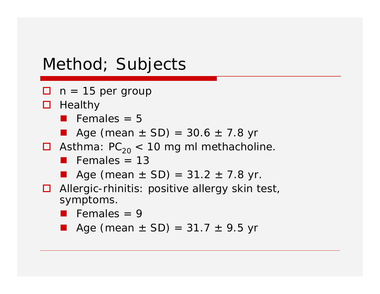#### Method; Subjects

- $\Box$  n = 15 per group
- $\Box$  Healthy
	- **•** Females  $= 5$
	- **•** Age (mean  $\pm$  SD) = 30.6  $\pm$  7.8 yr
- $\Box$  Asthma:  $PC_{20}$  < 10 mg ml methacholine.
	- **Females** =  $13$
	- Age (mean  $\pm$  SD) = 31.2  $\pm$  7.8 yr.
- $\Box$  Allergic-rhinitis: positive allergy skin test, symptoms.
	- Females = 9
	- **•** Age (mean  $\pm$  SD) = 31.7  $\pm$  9.5 yr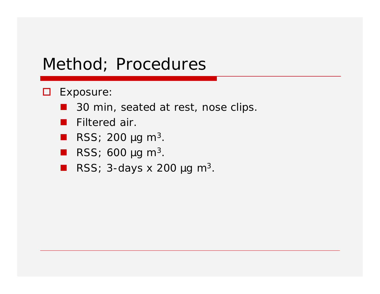#### Method; Procedures

- **O** Exposure:
	- 30 min, seated at rest, nose clips.
	- **Filtered air.**
	- **RSS**; 200  $\mu$ g m<sup>3</sup>.
	- **RSS**; 600  $\mu$ g m<sup>3</sup>.
	- **RSS**; 3-days x 200  $\mu$ g m<sup>3</sup>.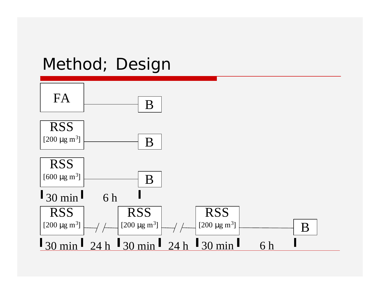## Method; Design

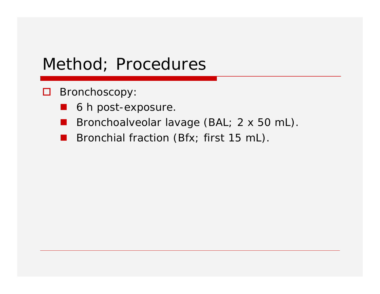#### Method; Procedures

- □ Bronchoscopy:
	- **6 h post-exposure.**
	- Bronchoalveolar lavage (BAL; 2 x 50 mL).
	- Bronchial fraction (Bfx; first 15 mL).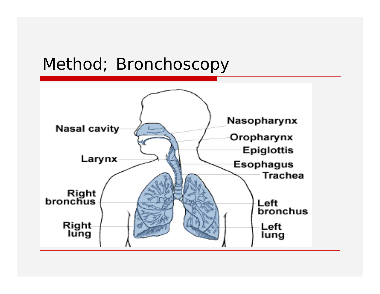### Method; Bronchoscopy

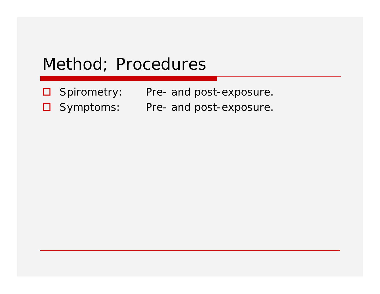#### Method; Procedures

- □ Spirometry: Pre- and post-exposure.
- □ Symptoms: Pre- and post-exposure.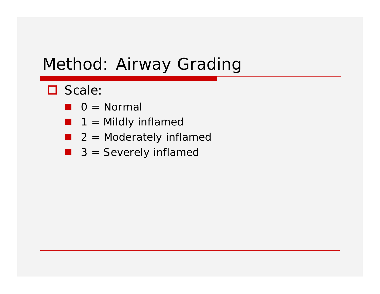#### Method: Airway Grading

- □ Scale:
	- $\blacksquare$  0 = Normal
	- $\blacksquare$  1 = Mildly inflamed
	- $\blacksquare$  2 = Moderately inflamed
	- $\blacksquare$  3 = Severely inflamed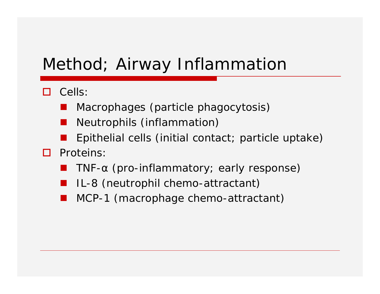#### Method; Airway Inflammation

- $\Box$  Cells:
	- Macrophages (particle phagocytosis)
	- Neutrophils (inflammation)
	- Epithelial cells (initial contact; particle uptake)
- **D** Proteins:
	- TNF- $\alpha$  (pro-inflammatory; early response)
	- IL-8 (neutrophil chemo-attractant)
	- MCP-1 (macrophage chemo-attractant)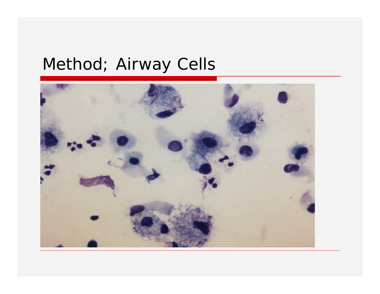### Method; Airway Cells

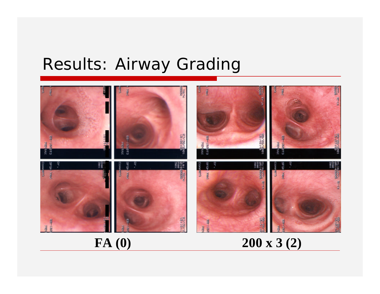#### Results: Airway Grading



**FA (0) 200 x 3 (2)**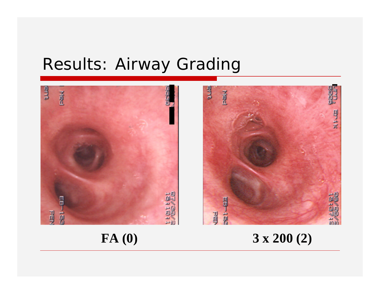#### Results: Airway Grading





FA (0) 3 x 200 (2)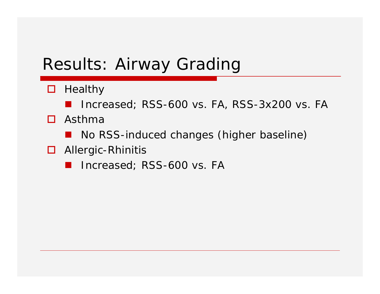#### Results: Airway Grading

- $\Box$  Healthy
	- Increased; RSS-600 vs. FA, RSS-3x200 vs. FA
- $\Box$  Asthma
	- No RSS-induced changes (higher baseline)
- $\Box$  Allergic-Rhinitis
	- Increased; RSS-600 vs. FA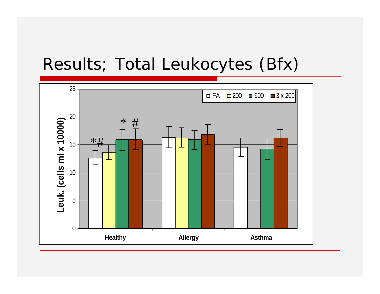#### Results; Total Leukocytes (Bfx)

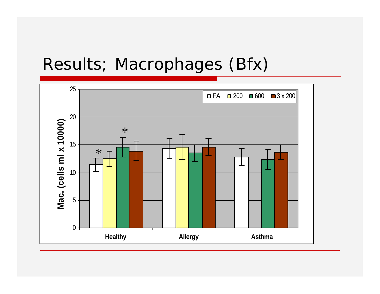#### Results; Macrophages (Bfx)

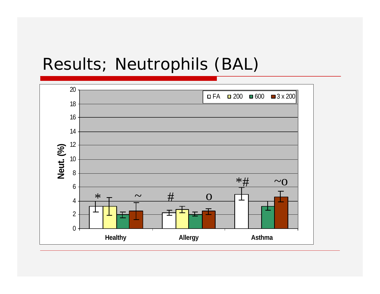#### Results; Neutrophils (BAL)

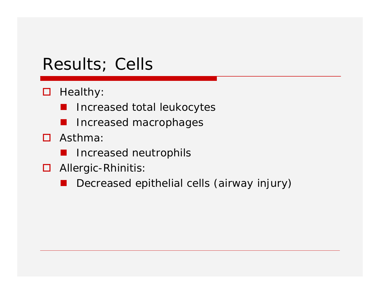#### Results; Cells

- $\Box$  Healthy:
	- Increased total leukocytes
	- $\blacksquare$  Increased macrophages
- $\Box$  Asthma:
	- **E** Increased neutrophils
- $\Box$  Allergic-Rhinitis:
	- Decreased epithelial cells (airway injury)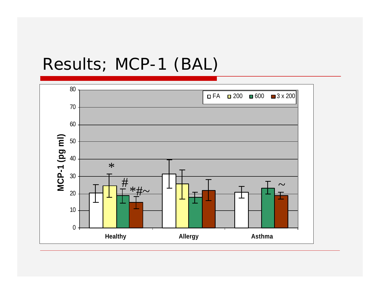#### Results; MCP-1 (BAL)

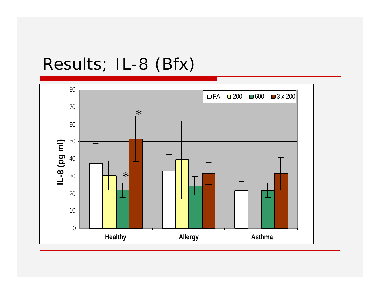## Results; IL-8 (Bfx)

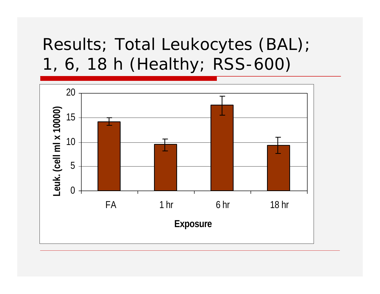## Results; Total Leukocytes (BAL); 1, 6, 18 h (Healthy; RSS-600)

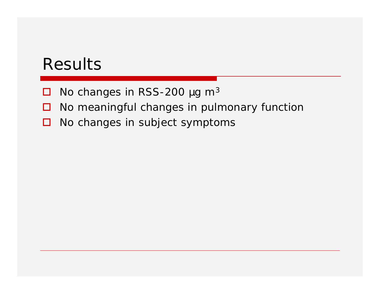#### Results

- $\Box$  No changes in RSS-200 µg m<sup>3</sup>
- $\Box$  No meaningful changes in pulmonary function
- $\Box$  No changes in subject symptoms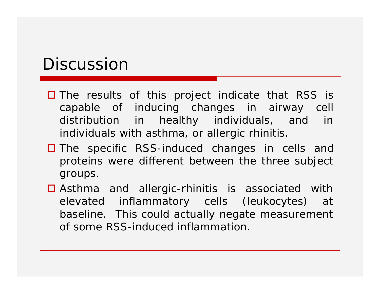#### Discussion

- $\Box$  The results of this project indicate that RSS is capable of inducing changes in airway cell distribution in healthy individuals, and in individuals with asthma, or allergic rhinitis.
- $\Box$  The specific RSS-induced changes in cells and proteins were different between the three subject groups.
- $\Box$  Asthma and allergic-rhinitis is associated with elevated inflammatory cells (leukocytes) at baseline. This could actually negate measurement of some RSS-induced inflammation.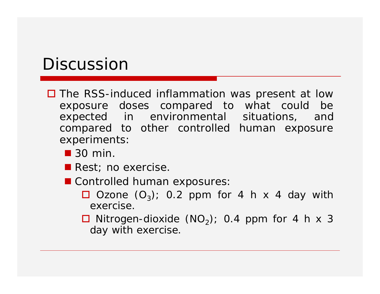#### **Discussion**

- $\square$  The RSS-induced inflammation was present at low exposure doses compared to what could be expected in environmental situations, and compared to other controlled human exposure experiments:
	- $\blacksquare$  30 min.
	- **Rest**; no exercise.
	- Controlled human exposures:
		- $\Box$  Ozone  $(O_3)$ ; 0.2 ppm for 4 h x 4 day with exercise.
		- $\Box$  Nitrogen-dioxide (NO<sub>2</sub>); 0.4 ppm for 4 h x 3 day with exercise.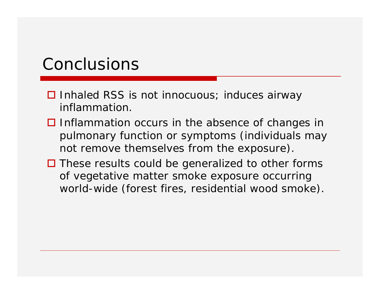#### Conclusions

- $\Box$  Inhaled RSS is not innocuous; induces airway inflammation.
- $\Box$  Inflammation occurs in the absence of changes in pulmonary function or symptoms (individuals may not remove themselves from the exposure).
- $\Box$  These results could be generalized to other forms of vegetative matter smoke exposure occurring world-wide (forest fires, residential wood smoke).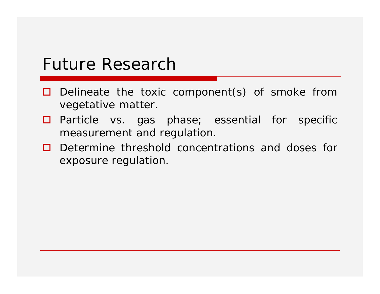#### Future Research

- $\Box$  Delineate the toxic component(s) of smoke from vegetative matter.
- $\Box$  Particle vs. gas phase; essential for specific measurement and regulation.
- $\Box$  Determine threshold concentrations and doses for exposure regulation.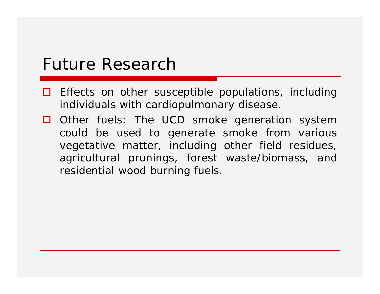#### Future Research

- $\Box$  Effects on other susceptible populations, including individuals with cardiopulmonary disease.
- $\Box$  Other fuels: The UCD smoke generation system could be used to generate smoke from various vegetative matter, including other field residues, agricultural prunings, forest waste/biomass, and residential wood burning fuels.